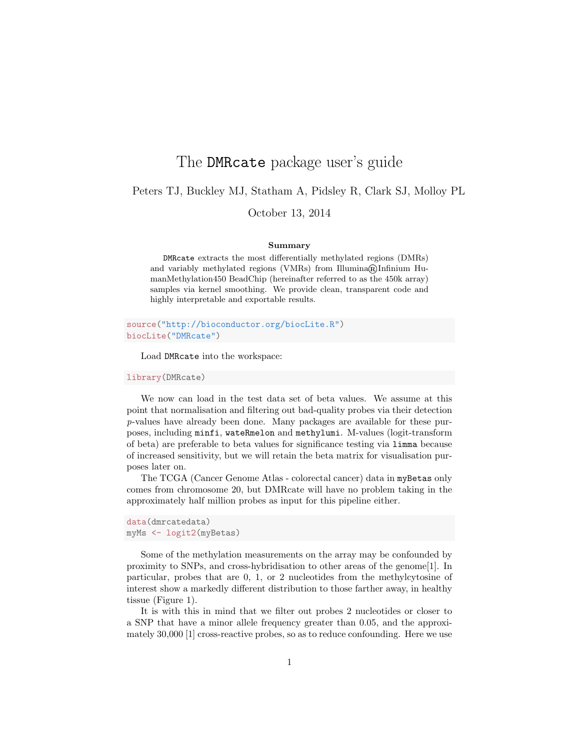## The DMRcate package user's guide

Peters TJ, Buckley MJ, Statham A, Pidsley R, Clark SJ, Molloy PL

October 13, 2014

## Summary

DMRcate extracts the most differentially methylated regions (DMRs) and variably methylated regions (VMRs) from Illumina $\mathbb{R}$ Infinium HumanMethylation450 BeadChip (hereinafter referred to as the 450k array) samples via kernel smoothing. We provide clean, transparent code and highly interpretable and exportable results.

source("http://bioconductor.org/biocLite.R") biocLite("DMRcate")

Load DMRcate into the workspace:

library(DMRcate)

We now can load in the test data set of beta values. We assume at this point that normalisation and filtering out bad-quality probes via their detection p-values have already been done. Many packages are available for these purposes, including minfi, wateRmelon and methylumi. M-values (logit-transform of beta) are preferable to beta values for significance testing via limma because of increased sensitivity, but we will retain the beta matrix for visualisation purposes later on.

The TCGA (Cancer Genome Atlas - colorectal cancer) data in myBetas only comes from chromosome 20, but DMRcate will have no problem taking in the approximately half million probes as input for this pipeline either.

```
data(dmrcatedata)
myMs <- logit2(myBetas)
```
Some of the methylation measurements on the array may be confounded by proximity to SNPs, and cross-hybridisation to other areas of the genome[1]. In particular, probes that are 0, 1, or 2 nucleotides from the methylcytosine of interest show a markedly different distribution to those farther away, in healthy tissue (Figure 1).

It is with this in mind that we filter out probes 2 nucleotides or closer to a SNP that have a minor allele frequency greater than 0.05, and the approximately 30,000 [1] cross-reactive probes, so as to reduce confounding. Here we use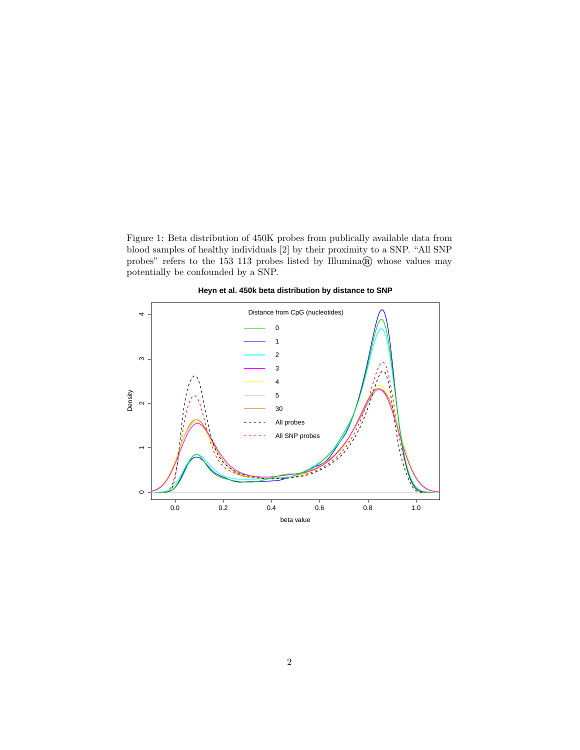Figure 1: Beta distribution of 450K probes from publically available data from blood samples of healthy individuals [2] by their proximity to a SNP. "All SNP probes" refers to the 153 113 probes listed by Illumina® whose values may potentially be confounded by a SNP.



**Heyn et al. 450k beta distribution by distance to SNP**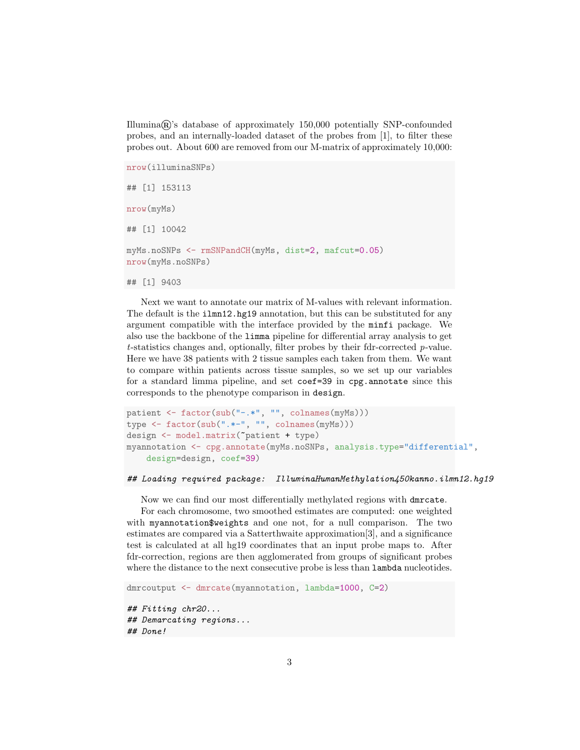Illumina®'s database of approximately 150,000 potentially SNP-confounded probes, and an internally-loaded dataset of the probes from [1], to filter these probes out. About 600 are removed from our M-matrix of approximately 10,000:

```
nrow(illuminaSNPs)
## [1] 153113
nrow(myMs)
## [1] 10042
myMs.noSNPs <- rmSNPandCH(myMs, dist=2, mafcut=0.05)
nrow(myMs.noSNPs)
## [1] 9403
```
Next we want to annotate our matrix of M-values with relevant information. The default is the **ilmn12.hg19** annotation, but this can be substituted for any argument compatible with the interface provided by the minfi package. We also use the backbone of the limma pipeline for differential array analysis to get  $t$ -statistics changes and, optionally, filter probes by their fdr-corrected  $p$ -value. Here we have 38 patients with 2 tissue samples each taken from them. We want to compare within patients across tissue samples, so we set up our variables for a standard limma pipeline, and set coef=39 in cpg.annotate since this corresponds to the phenotype comparison in design.

```
patient <- factor(sub("-.*", "", colnames(myMs)))
type \leq factor(sub(".*-", "", colnames(myMs)))
design <- model.matrix(~patient + type)
myannotation <- cpg.annotate(myMs.noSNPs, analysis.type="differential",
    design=design, coef=39)
```

```
## Loading required package: IlluminaHumanMethylation450kanno.ilmn12.hg19
```
Now we can find our most differentially methylated regions with dmrcate.

For each chromosome, two smoothed estimates are computed: one weighted with myannotation\$weights and one not, for a null comparison. The two estimates are compared via a Satterthwaite approximation[3], and a significance test is calculated at all hg19 coordinates that an input probe maps to. After fdr-correction, regions are then agglomerated from groups of significant probes where the distance to the next consecutive probe is less than lambda nucleotides.

```
dmrcoutput <- dmrcate(myannotation, lambda=1000, C=2)
## Fitting chr20...
## Demarcating regions...
## Done!
```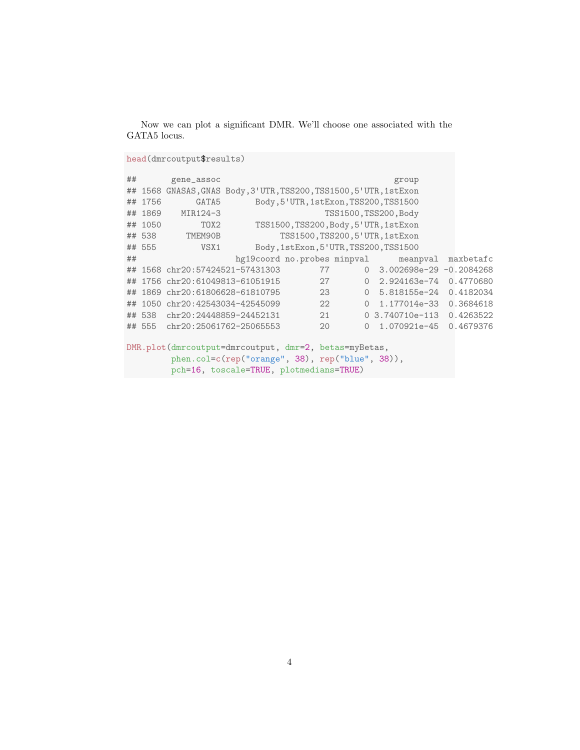Now we can plot a significant DMR. We'll choose one associated with the GATA5 locus.

```
head(dmrcoutput$results)
```

```
## gene_assoc group
## 1568 GNASAS,GNAS Body,3'UTR,TSS200,TSS1500,5'UTR,1stExon
## 1756 GATA5 Body,5'UTR,1stExon,TSS200,TSS1500
## 1869 MIR124-3 TSS1500,TSS200,Body
## 1050 TOX2 TSS1500,TSS200,Body,5'UTR,1stExon
## 538 TMEM90B TSS1500,TSS200,5'UTR,1stExon
## 555 VSX1 Body,1stExon,5'UTR,TSS200,TSS1500
## hg19coord no.probes minpval meanpval maxbetafc
## 1568 chr20:57424521-57431303 77 0 3.002698e-29 -0.2084268
## 1756 chr20:61049813-61051915 27 0 2.924163e-74 0.4770680
## 1869 chr20:61806628-61810795 23 0 5.818155e-24 0.4182034
## 1050 chr20:42543034-42545099 22 0 1.177014e-33 0.3684618
## 538 chr20:24448859-24452131 21 0 3.740710e-113 0.4263522
## 555 chr20:25061762-25065553 20 0 1.070921e-45 0.4679376
DMR.plot(dmrcoutput=dmrcoutput, dmr=2, betas=myBetas,
       phen.col=c(rep("orange", 38), rep("blue", 38)),
       pch=16, toscale=TRUE, plotmedians=TRUE)
```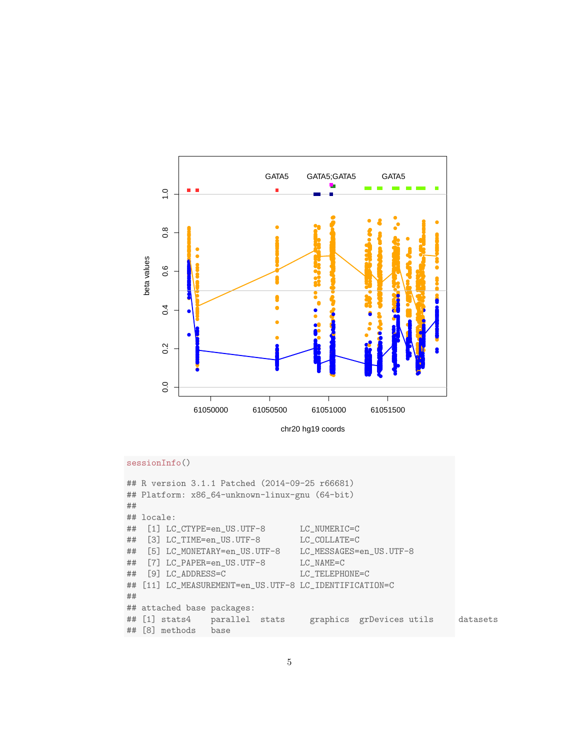

```
sessionInfo()
```

```
## R version 3.1.1 Patched (2014-09-25 r66681)
## Platform: x86_64-unknown-linux-gnu (64-bit)
#### locale:
## [1] LC_CTYPE=en_US.UTF-8
                                  LC_NUMERIC=C
## [3] LC_TIME=en_US.UTF-8
                                  LC_COLLATE=C
## [5] LC_MONETARY=en_US.UTF-8
                                  LC_MESSAGES=en_US.UTF-8
## [7] LC_PAPER=en_US.UTF-8
                                  LC_NAME=C## [9] LC_ADDRESS=C
                                  LC_TELEPHONE=C
## [11] LC_MEASUREMENT=en_US.UTF-8 LC_IDENTIFICATION=C
#### attached base packages:
## [1] stats4
                parallel stats
                                    graphics grDevices utils
                                                                  datasets## [8] methods base
```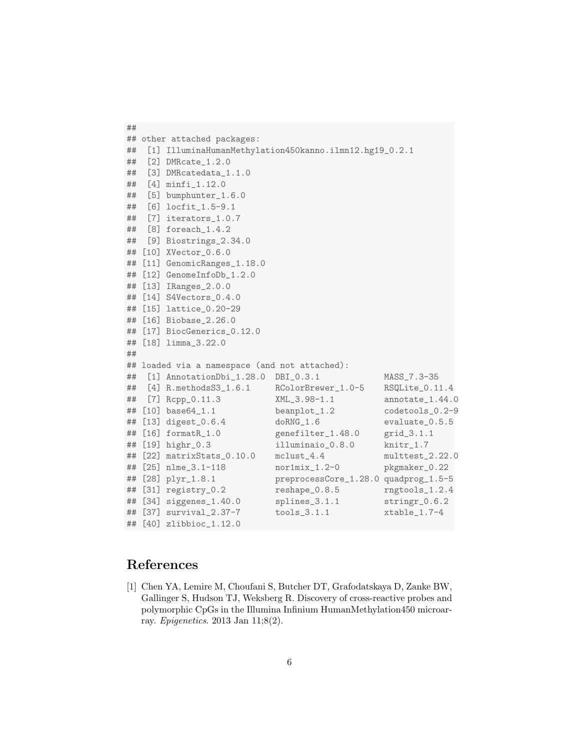```
##
## other attached packages:
## [1] IlluminaHumanMethylation450kanno.ilmn12.hg19_0.2.1
## [2] DMRcate_1.2.0
## [3] DMRcatedata_1.1.0
## [4] minfi_1.12.0
## [5] bumphunter_1.6.0
   [6] locfit_1.5-9.1
## [7] iterators_1.0.7
## [8] foreach_1.4.2
## [9] Biostrings_2.34.0
## [10] XVector_0.6.0
## [11] GenomicRanges_1.18.0
## [12] GenomeInfoDb_1.2.0
## [13] IRanges_2.0.0
## [14] S4Vectors_0.4.0
## [15] lattice_0.20-29
## [16] Biobase_2.26.0
## [17] BiocGenerics_0.12.0
## [18] limma_3.22.0
##
## loaded via a namespace (and not attached):
## [1] AnnotationDbi_1.28.0 DBI_0.3.1 MASS_7.3-35
## [4] R.methodsS3_1.6.1 RColorBrewer_1.0-5 RSQLite_0.11.4
## [7] Rcpp_0.11.3 XML_3.98-1.1 annotate_1.44.0
## [10] base64_1.1 beanplot_1.2 codetools_0.2-9
## [13] digest_0.6.4 doRNG_1.6 evaluate_0.5.5
## [16] formatR_1.0 genefilter_1.48.0 grid_3.1.1
## [19] highr_0.3 illuminaio_0.8.0 knitr_1.7
## [22] matrixStats_0.10.0 mclust_4.4 multtest_2.22.0
## [25] nlme_3.1-118 nor1mix_1.2-0 pkgmaker_0.22
## [28] plyr_1.8.1 preprocessCore_1.28.0 quadprog_1.5-5
## [31] registry_0.2 reshape_0.8.5 rngtools_1.2.4
## [34] siggenes_1.40.0 splines_3.1.1 stringr_0.6.2
## [37] survival_2.37-7 tools_3.1.1 xtable_1.7-4
## [40] zlibbioc_1.12.0
```
## References

[1] Chen YA, Lemire M, Choufani S, Butcher DT, Grafodatskaya D, Zanke BW, Gallinger S, Hudson TJ, Weksberg R. Discovery of cross-reactive probes and polymorphic CpGs in the Illumina Infinium HumanMethylation450 microarray. Epigenetics. 2013 Jan 11;8(2).